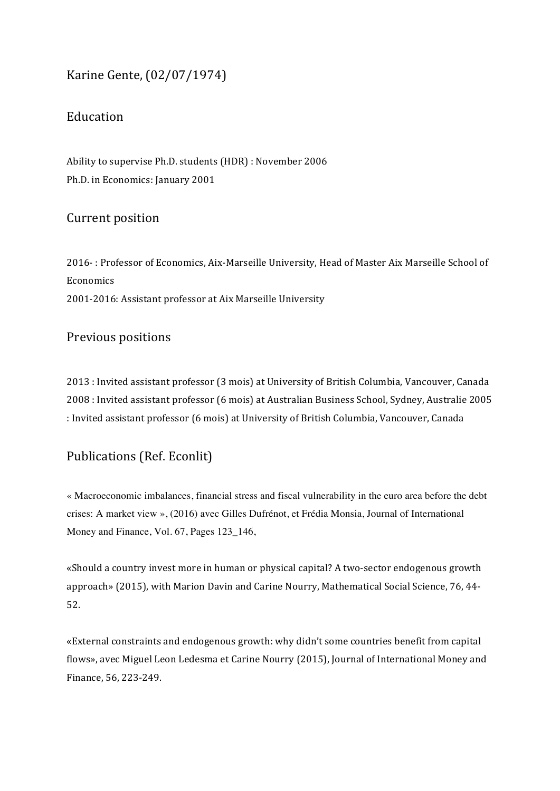# Karine Gente, (02/07/1974)

## Education

Ability to supervise Ph.D. students (HDR) : November 2006 Ph.D. in Economics: January 2001

## Current position

2016-: Professor of Economics, Aix-Marseille University, Head of Master Aix Marseille School of Economics 2001-2016: Assistant professor at Aix Marseille University

## Previous positions

2013 : Invited assistant professor (3 mois) at University of British Columbia, Vancouver, Canada 2008 : Invited assistant professor (6 mois) at Australian Business School, Sydney, Australie 2005 : Invited assistant professor (6 mois) at University of British Columbia, Vancouver, Canada

## Publications (Ref. Econlit)

« Macroeconomic imbalances, financial stress and fiscal vulnerability in the euro area before the debt crises: A market view », (2016) avec Gilles Dufrénot, et Frédia Monsia, Journal of International Money and Finance, Vol. 67, Pages 123 146,

«Should a country invest more in human or physical capital? A two-sector endogenous growth approach» (2015), with Marion Davin and Carine Nourry, Mathematical Social Science, 76, 44-52.

«External constraints and endogenous growth: why didn't some countries benefit from capital flows», avec Miguel Leon Ledesma et Carine Nourry (2015), Journal of International Money and Finance, 56, 223-249.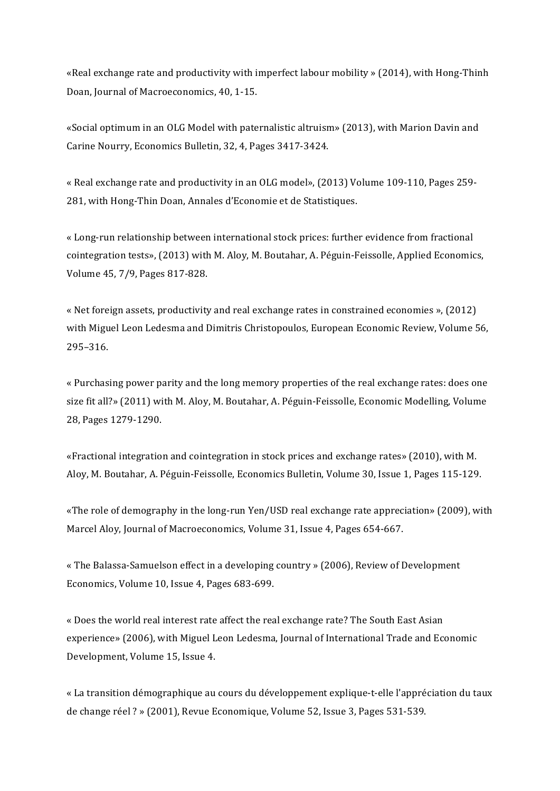«Real exchange rate and productivity with imperfect labour mobility » (2014), with Hong-Thinh Doan, Journal of Macroeconomics, 40, 1-15.

«Social optimum in an OLG Model with paternalistic altruism» (2013), with Marion Davin and Carine Nourry, Economics Bulletin, 32, 4, Pages 3417-3424.

« Real exchange rate and productivity in an OLG model», (2013) Volume 109-110, Pages 259-281, with Hong-Thin Doan, Annales d'Economie et de Statistiques.

« Long-run relationship between international stock prices: further evidence from fractional cointegration tests», (2013) with M. Aloy, M. Boutahar, A. Péguin-Feissolle, Applied Economics, Volume 45, 7/9, Pages 817-828.

« Net foreign assets, productivity and real exchange rates in constrained economies »,  $(2012)$ with Miguel Leon Ledesma and Dimitris Christopoulos, European Economic Review, Volume 56, 295–316. 

« Purchasing power parity and the long memory properties of the real exchange rates: does one size fit all?» (2011) with M. Aloy, M. Boutahar, A. Péguin-Feissolle, Economic Modelling, Volume 28, Pages 1279-1290.

«Fractional integration and cointegration in stock prices and exchange rates» (2010), with M. Aloy, M. Boutahar, A. Péguin-Feissolle, Economics Bulletin, Volume 30, Issue 1, Pages 115-129.

«The role of demography in the long-run Yen/USD real exchange rate appreciation» (2009), with Marcel Aloy, Journal of Macroeconomics, Volume 31, Issue 4, Pages 654-667.

« The Balassa-Samuelson effect in a developing country » (2006), Review of Development Economics, Volume 10, Issue 4, Pages 683-699.

« Does the world real interest rate affect the real exchange rate? The South East Asian experience» (2006), with Miguel Leon Ledesma, Journal of International Trade and Economic Development, Volume 15, Issue 4.

« La transition démographique au cours du développement explique-t-elle l'appréciation du taux de change  $r$ éel ? » (2001), Revue Economique, Volume 52, Issue 3, Pages 531-539.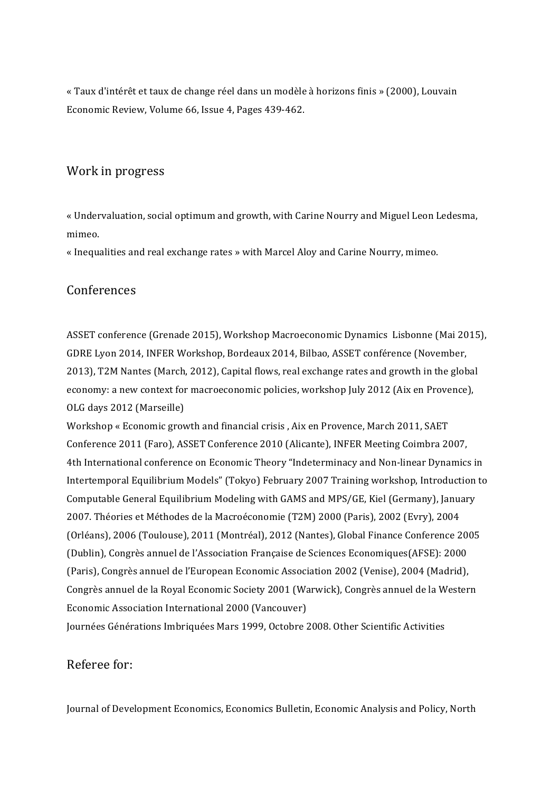« Taux d'intérêt et taux de change réel dans un modèle à horizons finis » (2000), Louvain Economic Review, Volume 66, Issue 4, Pages 439-462.

#### Work in progress

« Undervaluation, social optimum and growth, with Carine Nourry and Miguel Leon Ledesma, mimeo.

« Inequalities and real exchange rates » with Marcel Aloy and Carine Nourry, mimeo.

#### Conferences

ASSET conference (Grenade 2015), Workshop Macroeconomic Dynamics Lisbonne (Mai 2015), GDRE Lyon 2014, INFER Workshop, Bordeaux 2014, Bilbao, ASSET conférence (November, 2013), T2M Nantes (March, 2012), Capital flows, real exchange rates and growth in the global economy: a new context for macroeconomic policies, workshop July 2012 (Aix en Provence), OLG days 2012 (Marseille)

Workshop « Economic growth and financial crisis, Aix en Provence, March 2011, SAET Conference 2011 (Faro), ASSET Conference 2010 (Alicante), INFER Meeting Coimbra 2007, 4th International conference on Economic Theory "Indeterminacy and Non-linear Dynamics in Intertemporal Equilibrium Models" (Tokyo) February 2007 Training workshop, Introduction to Computable General Equilibrium Modeling with GAMS and MPS/GE, Kiel (Germany), January 2007. Théories et Méthodes de la Macroéconomie (T2M) 2000 (Paris), 2002 (Evry), 2004 (Orléans), 2006 (Toulouse), 2011 (Montréal), 2012 (Nantes), Global Finance Conference 2005 (Dublin), Congrès annuel de l'Association Française de Sciences Economiques(AFSE): 2000 (Paris), Congrès annuel de l'European Economic Association 2002 (Venise), 2004 (Madrid), Congrès annuel de la Royal Economic Society 2001 (Warwick), Congrès annuel de la Western Economic Association International 2000 (Vancouver) Journées Générations Imbriquées Mars 1999, Octobre 2008. Other Scientific Activities

## Referee for:

Journal of Development Economics, Economics Bulletin, Economic Analysis and Policy, North